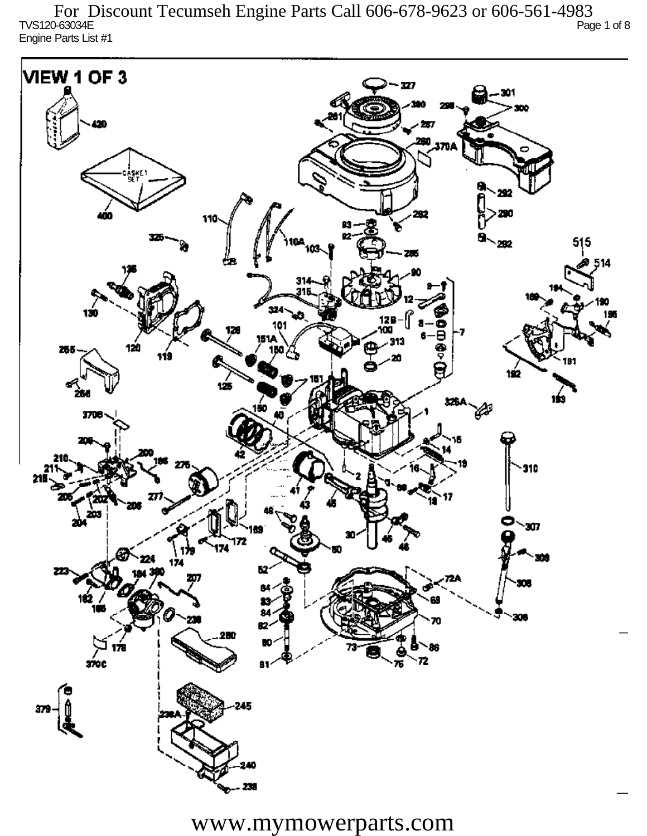TVS120-63034E Page 1 of 8 Engine Parts List #1 For Discount Tecumseh Engine Parts Call 606-678-9623 or 606-561-4983

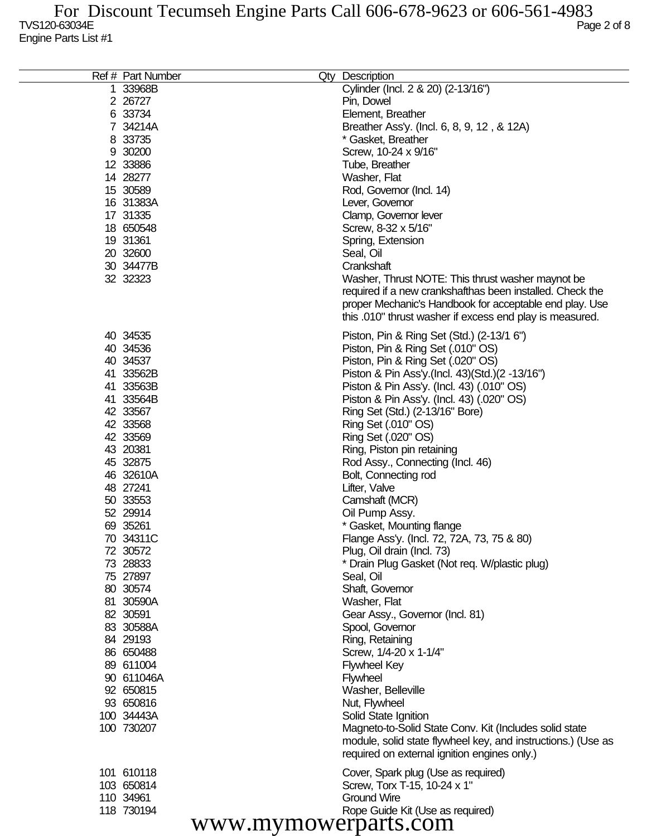| Ref # Part Number    | Qty Description                                              |
|----------------------|--------------------------------------------------------------|
| 1 33968B             | Cylinder (Incl. 2 & 20) (2-13/16")                           |
| 2 26727              | Pin, Dowel                                                   |
| 6 33734              | Element, Breather                                            |
| 7 34214A             |                                                              |
|                      | Breather Ass'y. (Incl. 6, 8, 9, 12, & 12A)                   |
| 8 33735              | * Gasket, Breather                                           |
| 9 30200              | Screw, 10-24 x 9/16"                                         |
| 12 33886             | Tube, Breather                                               |
| 14 28277             | Washer, Flat                                                 |
| 15 30589             | Rod, Governor (Incl. 14)                                     |
| 16 31383A            | Lever, Governor                                              |
| 17 31335             | Clamp, Governor lever                                        |
| 18 650548            | Screw, 8-32 x 5/16"                                          |
| 19 31361             | Spring, Extension                                            |
| 20 32600             | Seal, Oil                                                    |
| 30 34477B            | Crankshaft                                                   |
| 32 32323             | Washer, Thrust NOTE: This thrust washer maynot be            |
|                      | required if a new crankshafthas been installed. Check the    |
|                      | proper Mechanic's Handbook for acceptable end play. Use      |
|                      | this .010" thrust washer if excess end play is measured.     |
|                      |                                                              |
| 40 34535             | Piston, Pin & Ring Set (Std.) (2-13/1 6")                    |
| 40 34536             | Piston, Pin & Ring Set (.010" OS)                            |
| 40 34537             | Piston, Pin & Ring Set (.020" OS)                            |
| 41 33562B            | Piston & Pin Ass'y (Incl. 43) (Std.) (2 -13/16")             |
| 41 33563B            | Piston & Pin Ass'y. (Incl. 43) (.010" OS)                    |
| 41 33564B            | Piston & Pin Ass'y. (Incl. 43) (.020" OS)                    |
| 42 33567             | Ring Set (Std.) (2-13/16" Bore)                              |
| 42 33568             | Ring Set (.010" OS)                                          |
| 42 33569             | Ring Set (.020" OS)                                          |
| 43 20381             | Ring, Piston pin retaining                                   |
| 45 32875             | Rod Assy., Connecting (Incl. 46)                             |
| 46 32610A            | Bolt, Connecting rod                                         |
| 48 27241             | Lifter, Valve                                                |
|                      | Camshaft (MCR)                                               |
| 50 33553             |                                                              |
| 52 29914             | Oil Pump Assy.                                               |
| 69 35261             | * Gasket, Mounting flange                                    |
| 70 34311C            | Flange Ass'y. (Incl. 72, 72A, 73, 75 & 80)                   |
| 72 30572             | Plug, Oil drain (Incl. 73)                                   |
| 73 28833             | * Drain Plug Gasket (Not req. W/plastic plug)                |
| 75 27897             | Seal, Oil                                                    |
| 80 30574             | Shaft, Governor                                              |
| 81 30590A            | Washer, Flat                                                 |
| 82 30591             | Gear Assy., Governor (Incl. 81)                              |
| 83 30588A            | Spool, Governor                                              |
| 84 29193             | Ring, Retaining                                              |
| 86 650488            | Screw, 1/4-20 x 1-1/4"                                       |
| 89 611004            | <b>Flywheel Key</b>                                          |
| 90 611046A           | <b>Flywheel</b>                                              |
| 92 650815            | Washer, Belleville                                           |
| 93 650816            | Nut, Flywheel                                                |
| 100 34443A           | Solid State Ignition                                         |
| 100 730207           | Magneto-to-Solid State Conv. Kit (Includes solid state       |
|                      | module, solid state flywheel key, and instructions.) (Use as |
|                      | required on external ignition engines only.)                 |
| 101 610118           | Cover, Spark plug (Use as required)                          |
| 103 650814           | Screw, Torx T-15, 10-24 x 1"                                 |
| 110 34961            | <b>Ground Wire</b>                                           |
| 118 730194           | Rope Guide Kit (Use as required)                             |
|                      |                                                              |
| www.mymowerparts.com |                                                              |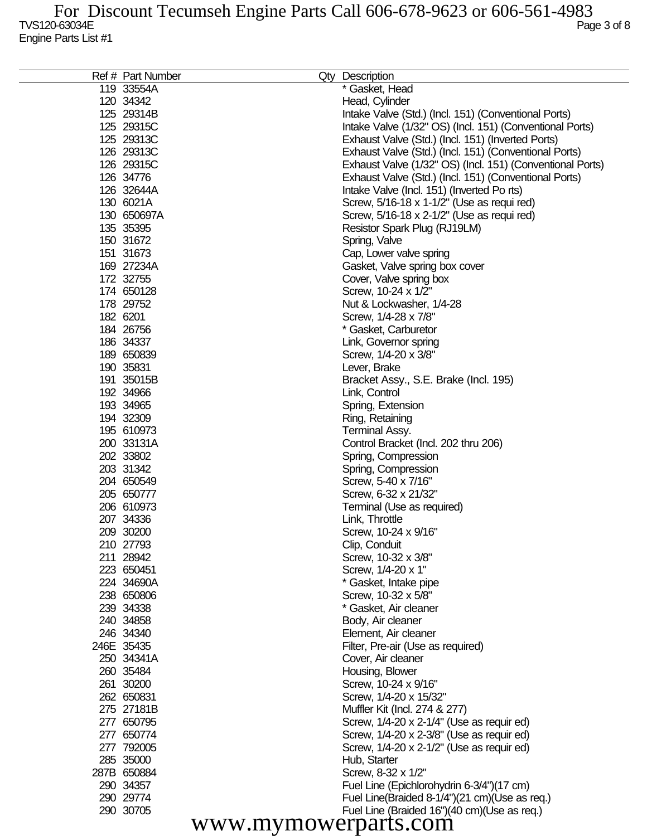| Ref # Part Number    | Qty Description                                           |
|----------------------|-----------------------------------------------------------|
| 119 33554A           | * Gasket, Head                                            |
| 120 34342            | Head, Cylinder                                            |
| 125 29314B           | Intake Valve (Std.) (Incl. 151) (Conventional Ports)      |
| 125 29315C           | Intake Valve (1/32" OS) (Incl. 151) (Conventional Ports)  |
| 125 29313C           | Exhaust Valve (Std.) (Incl. 151) (Inverted Ports)         |
| 126 29313C           | Exhaust Valve (Std.) (Incl. 151) (Conventional Ports)     |
| 126 29315C           | Exhaust Valve (1/32" OS) (Incl. 151) (Conventional Ports) |
| 126 34776            | Exhaust Valve (Std.) (Incl. 151) (Conventional Ports)     |
| 126 32644A           | Intake Valve (Incl. 151) (Inverted Po rts)                |
| 130 6021A            | Screw, 5/16-18 x 1-1/2" (Use as requi red)                |
| 130 650697A          | Screw, 5/16-18 x 2-1/2" (Use as requi red)                |
| 135 35395            | Resistor Spark Plug (RJ19LM)                              |
| 150 31672            | Spring, Valve                                             |
| 151 31673            | Cap, Lower valve spring                                   |
| 169 27234A           | Gasket, Valve spring box cover                            |
| 172 32755            | Cover, Valve spring box                                   |
| 174 650128           | Screw, 10-24 x 1/2"                                       |
| 178 29752            | Nut & Lockwasher, 1/4-28                                  |
| 182 6201             | Screw, 1/4-28 x 7/8"                                      |
| 184 26756            | * Gasket, Carburetor                                      |
| 186 34337            | Link, Governor spring                                     |
|                      | Screw, 1/4-20 x 3/8"                                      |
| 189 650839           | Lever, Brake                                              |
| 190 35831            |                                                           |
| 191 35015B           | Bracket Assy., S.E. Brake (Incl. 195)                     |
| 192 34966            | Link, Control                                             |
| 193 34965            | Spring, Extension                                         |
| 194 32309            | Ring, Retaining                                           |
| 195 610973           | Terminal Assy.                                            |
| 200 33131A           | Control Bracket (Incl. 202 thru 206)                      |
| 202 33802            | Spring, Compression                                       |
| 203 31342            | Spring, Compression                                       |
| 204 650549           | Screw, 5-40 x 7/16"                                       |
| 205 650777           | Screw, 6-32 x 21/32"                                      |
| 206 610973           | Terminal (Use as required)                                |
| 207 34336            | Link, Throttle                                            |
| 209 30200            | Screw, 10-24 x 9/16"                                      |
| 210 27793            | Clip, Conduit                                             |
| 211 28942            | Screw, 10-32 x 3/8"                                       |
| 223 650451           | Screw, 1/4-20 x 1"                                        |
| 224 34690A           | * Gasket, Intake pipe                                     |
| 238 650806           | Screw, 10-32 x 5/8"                                       |
| 239 34338            | * Gasket, Air cleaner                                     |
| 240 34858            | Body, Air cleaner                                         |
| 246 34340            | Element, Air cleaner                                      |
| 246E 35435           | Filter, Pre-air (Use as required)                         |
| 250 34341A           | Cover, Air cleaner                                        |
| 260 35484            | Housing, Blower                                           |
| 261 30200            | Screw, 10-24 x 9/16"                                      |
| 262 650831           | Screw, 1/4-20 x 15/32"                                    |
| 275 27181B           | Muffler Kit (Incl. 274 & 277)                             |
| 277 650795           | Screw, 1/4-20 x 2-1/4" (Use as requir ed)                 |
| 277 650774           | Screw, 1/4-20 x 2-3/8" (Use as requir ed)                 |
| 277 792005           | Screw, 1/4-20 x 2-1/2" (Use as requir ed)                 |
| 285 35000            | Hub, Starter                                              |
| 287B 650884          | Screw, 8-32 x 1/2"                                        |
| 290 34357            | Fuel Line (Epichlorohydrin 6-3/4")(17 cm)                 |
| 290 29774            | Fuel Line(Braided 8-1/4")(21 cm)(Use as req.)             |
| 290 30705            | Fuel Line (Braided 16")(40 cm)(Use as req.)               |
| www.mymowerparts.com |                                                           |
|                      |                                                           |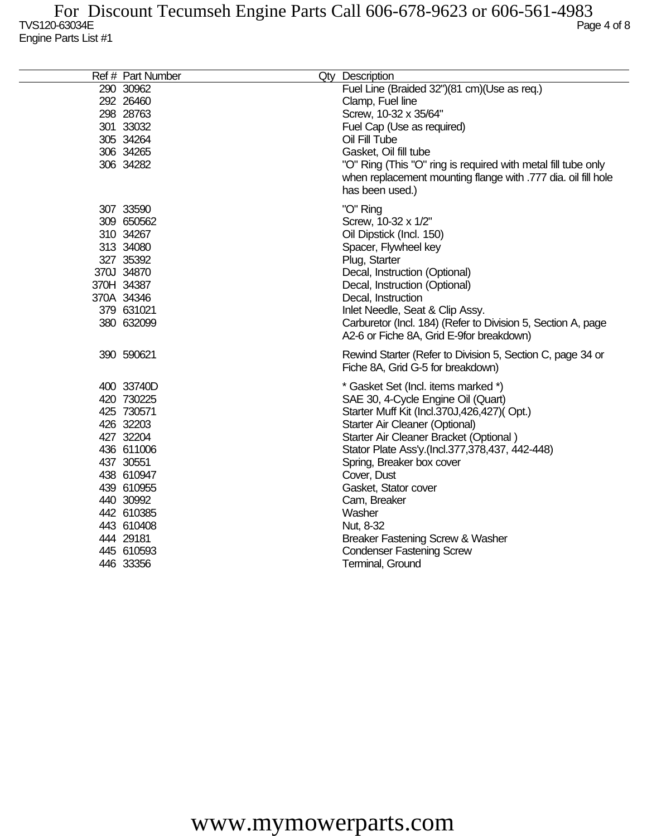## TVS120-63034E Page 4 of 8 Engine Parts List #1 For Discount Tecumseh Engine Parts Call 606-678-9623 or 606-561-4983

| Ref # Part Number | Qty Description                                                                                                                                   |
|-------------------|---------------------------------------------------------------------------------------------------------------------------------------------------|
| 290 30962         | Fuel Line (Braided 32")(81 cm)(Use as req.)                                                                                                       |
| 292 26460         | Clamp, Fuel line                                                                                                                                  |
| 298 28763         | Screw, 10-32 x 35/64"                                                                                                                             |
| 301 33032         | Fuel Cap (Use as required)                                                                                                                        |
| 305 34264         | Oil Fill Tube                                                                                                                                     |
| 306 34265         | Gasket, Oil fill tube                                                                                                                             |
| 306 34282         | "O" Ring (This "O" ring is required with metal fill tube only<br>when replacement mounting flange with .777 dia. oil fill hole<br>has been used.) |
| 307 33590         | "O" Ring                                                                                                                                          |
| 309 650562        | Screw, 10-32 x 1/2"                                                                                                                               |
| 310 34267         | Oil Dipstick (Incl. 150)                                                                                                                          |
| 313 34080         | Spacer, Flywheel key                                                                                                                              |
| 327 35392         | Plug, Starter                                                                                                                                     |
| 370J 34870        | Decal, Instruction (Optional)                                                                                                                     |
| 370H 34387        | Decal, Instruction (Optional)                                                                                                                     |
| 370A 34346        | Decal, Instruction                                                                                                                                |
| 379 631021        | Inlet Needle, Seat & Clip Assy.                                                                                                                   |
| 380 632099        | Carburetor (Incl. 184) (Refer to Division 5, Section A, page<br>A2-6 or Fiche 8A, Grid E-9 for breakdown)                                         |
| 390 590621        | Rewind Starter (Refer to Division 5, Section C, page 34 or<br>Fiche 8A, Grid G-5 for breakdown)                                                   |
| 400 33740D        | * Gasket Set (Incl. items marked *)                                                                                                               |
| 420 730225        | SAE 30, 4-Cycle Engine Oil (Quart)                                                                                                                |
| 425 730571        | Starter Muff Kit (Incl.370J,426,427)(Opt.)                                                                                                        |
| 426 32203         | Starter Air Cleaner (Optional)                                                                                                                    |
| 427 32204         | Starter Air Cleaner Bracket (Optional)                                                                                                            |
| 436 611006        | Stator Plate Ass'y.(Incl.377,378,437, 442-448)                                                                                                    |
| 437 30551         | Spring, Breaker box cover                                                                                                                         |
| 438 610947        | Cover, Dust                                                                                                                                       |
| 439 610955        | Gasket, Stator cover                                                                                                                              |
| 440 30992         | Cam, Breaker                                                                                                                                      |
| 442 610385        | Washer                                                                                                                                            |
| 443 610408        | Nut, 8-32                                                                                                                                         |
| 444 29181         | Breaker Fastening Screw & Washer                                                                                                                  |
| 445 610593        | <b>Condenser Fastening Screw</b>                                                                                                                  |
| 446 33356         | Terminal, Ground                                                                                                                                  |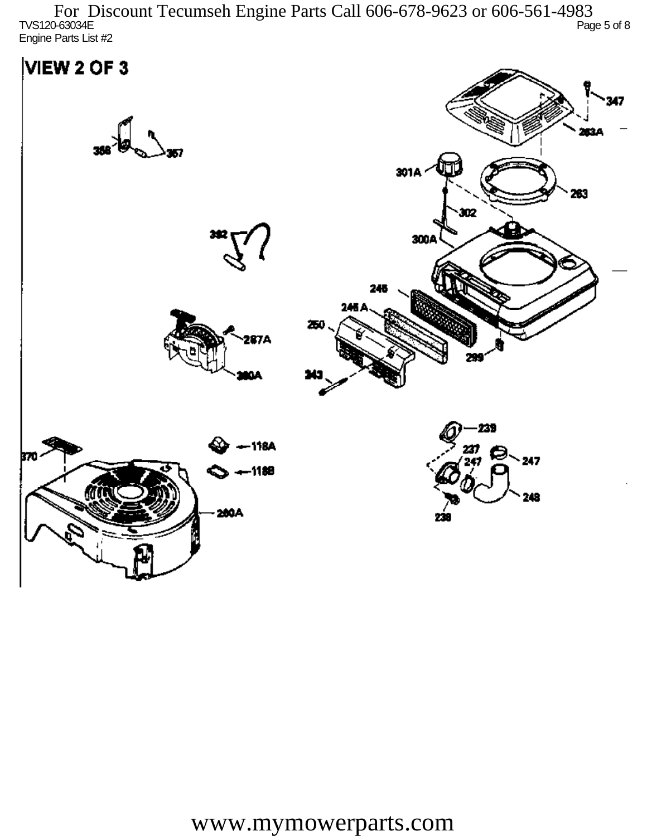TVS120-63034E Page 5 of 8 Engine Parts List #2 For Discount Tecumseh Engine Parts Call 606-678-9623 or 606-561-4983

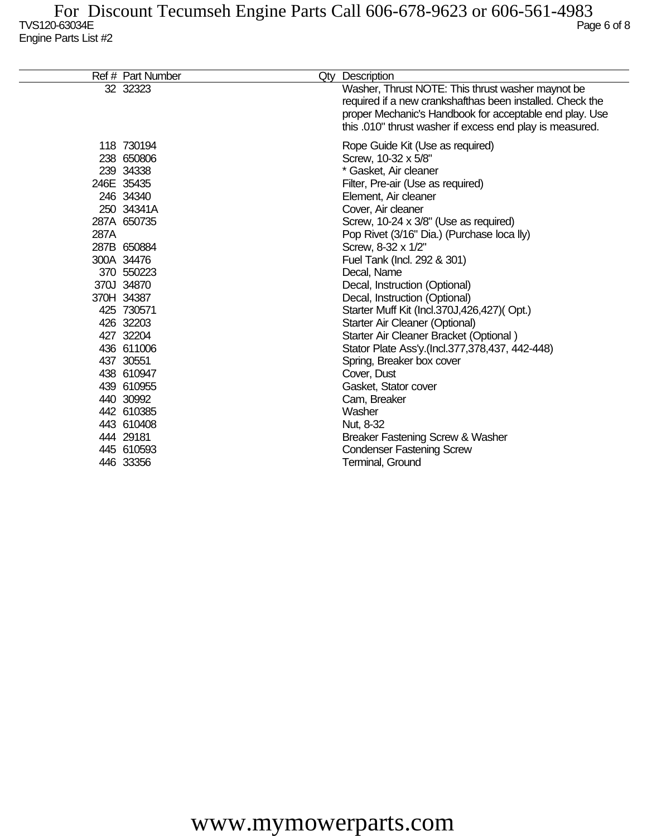|      | Ref # Part Number | Qty Description                                                                                                                                                                                                                       |
|------|-------------------|---------------------------------------------------------------------------------------------------------------------------------------------------------------------------------------------------------------------------------------|
|      | 32 32323          | Washer, Thrust NOTE: This thrust washer maynot be<br>required if a new crankshafthas been installed. Check the<br>proper Mechanic's Handbook for acceptable end play. Use<br>this .010" thrust washer if excess end play is measured. |
|      | 118 730194        | Rope Guide Kit (Use as required)                                                                                                                                                                                                      |
|      | 238 650806        | Screw, 10-32 x 5/8"                                                                                                                                                                                                                   |
|      | 239 34338         | * Gasket, Air cleaner                                                                                                                                                                                                                 |
|      | 246E 35435        | Filter, Pre-air (Use as required)                                                                                                                                                                                                     |
|      | 246 34340         | Element, Air cleaner                                                                                                                                                                                                                  |
|      | 250 34341A        | Cover, Air cleaner                                                                                                                                                                                                                    |
|      | 287A 650735       | Screw, 10-24 x 3/8" (Use as required)                                                                                                                                                                                                 |
| 287A |                   | Pop Rivet (3/16" Dia.) (Purchase loca lly)                                                                                                                                                                                            |
|      | 287B 650884       | Screw, 8-32 x 1/2"                                                                                                                                                                                                                    |
|      | 300A 34476        | Fuel Tank (Incl. 292 & 301)                                                                                                                                                                                                           |
|      | 370 550223        | Decal, Name                                                                                                                                                                                                                           |
|      | 370J 34870        | Decal, Instruction (Optional)                                                                                                                                                                                                         |
|      | 370H 34387        | Decal, Instruction (Optional)                                                                                                                                                                                                         |
|      | 425 730571        | Starter Muff Kit (Incl.370J,426,427)(Opt.)                                                                                                                                                                                            |
|      | 426 32203         | Starter Air Cleaner (Optional)                                                                                                                                                                                                        |
|      | 427 32204         | Starter Air Cleaner Bracket (Optional)                                                                                                                                                                                                |
|      | 436 611006        | Stator Plate Ass'y.(Incl.377,378,437, 442-448)                                                                                                                                                                                        |
|      | 437 30551         | Spring, Breaker box cover                                                                                                                                                                                                             |
|      | 438 610947        | Cover, Dust                                                                                                                                                                                                                           |
|      | 439 610955        | Gasket, Stator cover                                                                                                                                                                                                                  |
|      | 440 30992         | Cam, Breaker                                                                                                                                                                                                                          |
|      | 442 610385        | Washer                                                                                                                                                                                                                                |
|      | 443 610408        | Nut, 8-32                                                                                                                                                                                                                             |
|      | 444 29181         | Breaker Fastening Screw & Washer                                                                                                                                                                                                      |
|      | 445 610593        | <b>Condenser Fastening Screw</b>                                                                                                                                                                                                      |
|      | 446 33356         | <b>Terminal, Ground</b>                                                                                                                                                                                                               |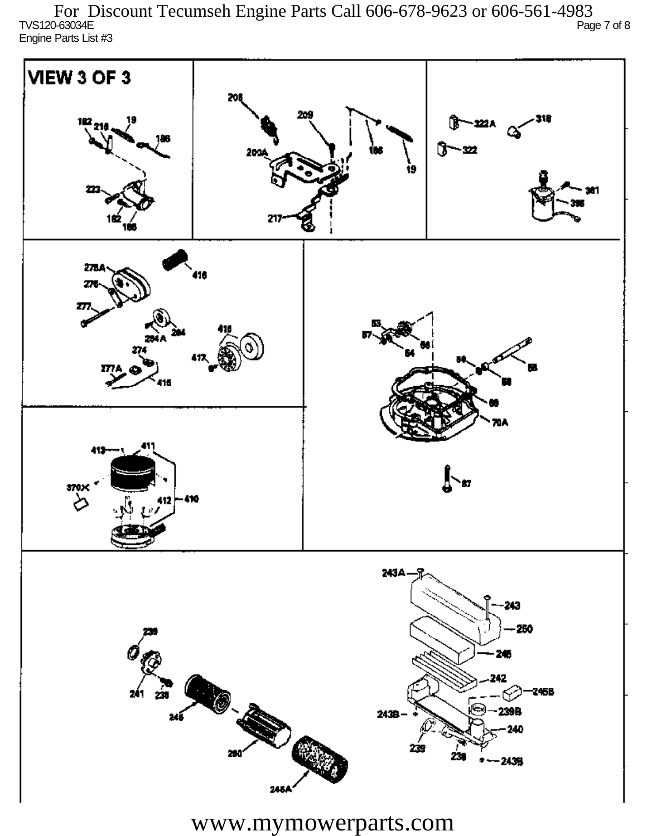TVS120-63034E Page 7 of 8 Engine Parts List #3 For Discount Tecumseh Engine Parts Call 606-678-9623 or 606-561-4983